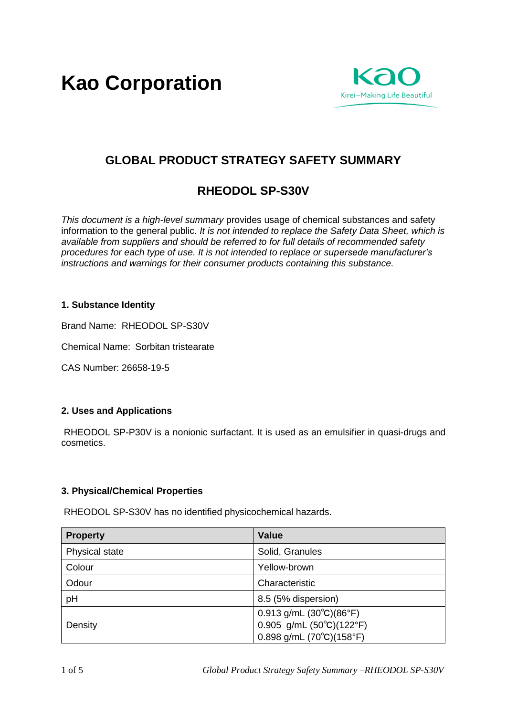**Kao Corporation**



# **GLOBAL PRODUCT STRATEGY SAFETY SUMMARY**

# **RHEODOL SP-S30V**

*This document is a high-level summary* provides usage of chemical substances and safety information to the general public. *It is not intended to replace the Safety Data Sheet, which is available from suppliers and should be referred to for full details of recommended safety procedures for each type of use. It is not intended to replace or supersede manufacturer's instructions and warnings for their consumer products containing this substance.* 

#### **1. Substance Identity**

Brand Name: RHEODOL SP-S30V

Chemical Name: Sorbitan tristearate

CAS Number: 26658-19-5

#### **2. Uses and Applications**

RHEODOL SP-P30V is a nonionic surfactant. It is used as an emulsifier in quasi-drugs and cosmetics.

# **3. Physical/Chemical Properties**

RHEODOL SP-S30V has no identified physicochemical hazards.

| <b>Property</b> | <b>Value</b>                                     |
|-----------------|--------------------------------------------------|
| Physical state  | Solid, Granules                                  |
| Colour          | Yellow-brown                                     |
| Odour           | Characteristic                                   |
| pH              | 8.5 (5% dispersion)                              |
|                 | $0.913$ g/mL $(30^{\circ}C)(86^{\circ}F)$        |
| Density         | 0.905 g/mL $(50^{\circ}C)(122^{\circ}F)$         |
|                 | $0.898$ g/mL (70 $^{\circ}$ C)(158 $^{\circ}$ F) |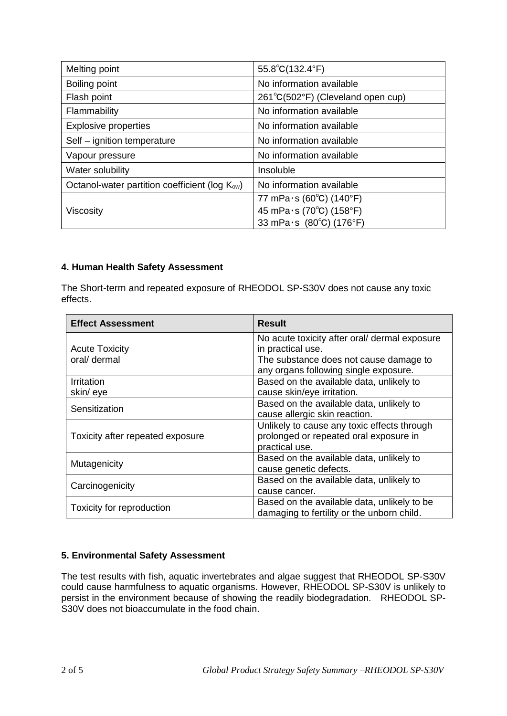| Melting point                                              | $55.8^{\circ}C(132.4^{\circ}F)$   |
|------------------------------------------------------------|-----------------------------------|
| Boiling point                                              | No information available          |
| Flash point                                                | 261°C(502°F) (Cleveland open cup) |
| Flammability                                               | No information available          |
| <b>Explosive properties</b>                                | No information available          |
| Self - ignition temperature                                | No information available          |
| Vapour pressure                                            | No information available          |
| Water solubility                                           | Insoluble                         |
| Octanol-water partition coefficient (log K <sub>ow</sub> ) | No information available          |
|                                                            | 77 mPa $\cdot$ s (60°C) (140°F)   |
| Viscosity                                                  | 45 mPa·s (70°C) (158°F)           |
|                                                            | 33 mPa $\cdot$ s (80°C) (176°F)   |

# **4. Human Health Safety Assessment**

The Short-term and repeated exposure of RHEODOL SP-S30V does not cause any toxic effects.

| <b>Effect Assessment</b>         | <b>Result</b>                                 |
|----------------------------------|-----------------------------------------------|
|                                  | No acute toxicity after oral/ dermal exposure |
| <b>Acute Toxicity</b>            | in practical use.                             |
| oral/ dermal                     | The substance does not cause damage to        |
|                                  | any organs following single exposure.         |
| <b>Irritation</b>                | Based on the available data, unlikely to      |
| skin/eye                         | cause skin/eye irritation.                    |
|                                  | Based on the available data, unlikely to      |
| Sensitization                    | cause allergic skin reaction.                 |
|                                  | Unlikely to cause any toxic effects through   |
| Toxicity after repeated exposure | prolonged or repeated oral exposure in        |
|                                  | practical use.                                |
| Mutagenicity                     | Based on the available data, unlikely to      |
|                                  | cause genetic defects.                        |
| Carcinogenicity                  | Based on the available data, unlikely to      |
|                                  | cause cancer.                                 |
| Toxicity for reproduction        | Based on the available data, unlikely to be   |
|                                  | damaging to fertility or the unborn child.    |

# **5. Environmental Safety Assessment**

The test results with fish, aquatic invertebrates and algae suggest that RHEODOL SP-S30V could cause harmfulness to aquatic organisms. However, RHEODOL SP-S30V is unlikely to persist in the environment because of showing the readily biodegradation. RHEODOL SP-S30V does not bioaccumulate in the food chain.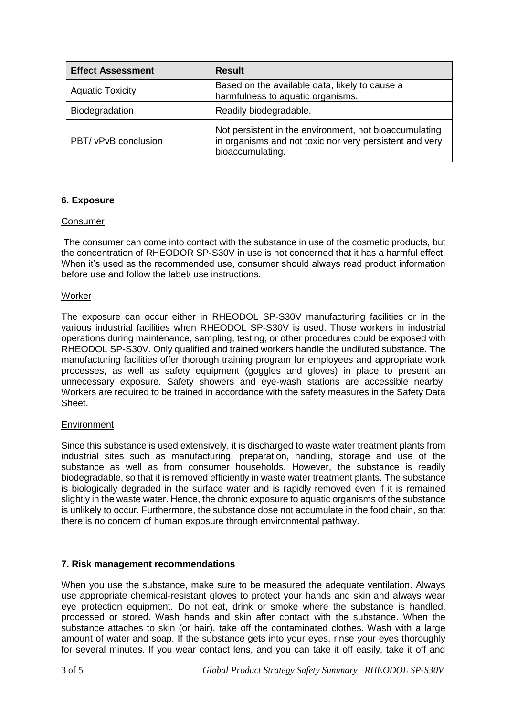| <b>Effect Assessment</b> | <b>Result</b>                                                                                                                         |
|--------------------------|---------------------------------------------------------------------------------------------------------------------------------------|
| <b>Aquatic Toxicity</b>  | Based on the available data, likely to cause a<br>harmfulness to aquatic organisms.                                                   |
| Biodegradation           | Readily biodegradable.                                                                                                                |
| PBT/ vPvB conclusion     | Not persistent in the environment, not bioaccumulating<br>in organisms and not toxic nor very persistent and very<br>bioaccumulating. |

# **6. Exposure**

#### **Consumer**

The consumer can come into contact with the substance in use of the cosmetic products, but the concentration of RHEODOR SP-S30V in use is not concerned that it has a harmful effect. When it's used as the recommended use, consumer should always read product information before use and follow the label/ use instructions.

#### **Worker**

The exposure can occur either in RHEODOL SP-S30V manufacturing facilities or in the various industrial facilities when RHEODOL SP-S30V is used. Those workers in industrial operations during maintenance, sampling, testing, or other procedures could be exposed with RHEODOL SP-S30V. Only qualified and trained workers handle the undiluted substance. The manufacturing facilities offer thorough training program for employees and appropriate work processes, as well as safety equipment (goggles and gloves) in place to present an unnecessary exposure. Safety showers and eye-wash stations are accessible nearby. Workers are required to be trained in accordance with the safety measures in the Safety Data Sheet.

#### **Environment**

Since this substance is used extensively, it is discharged to waste water treatment plants from industrial sites such as manufacturing, preparation, handling, storage and use of the substance as well as from consumer households. However, the substance is readily biodegradable, so that it is removed efficiently in waste water treatment plants. The substance is biologically degraded in the surface water and is rapidly removed even if it is remained slightly in the waste water. Hence, the chronic exposure to aquatic organisms of the substance is unlikely to occur. Furthermore, the substance dose not accumulate in the food chain, so that there is no concern of human exposure through environmental pathway.

#### **7. Risk management recommendations**

When you use the substance, make sure to be measured the adequate ventilation. Always use appropriate chemical-resistant gloves to protect your hands and skin and always wear eye protection equipment. Do not eat, drink or smoke where the substance is handled, processed or stored. Wash hands and skin after contact with the substance. When the substance attaches to skin (or hair), take off the contaminated clothes. Wash with a large amount of water and soap. If the substance gets into your eyes, rinse your eyes thoroughly for several minutes. If you wear contact lens, and you can take it off easily, take it off and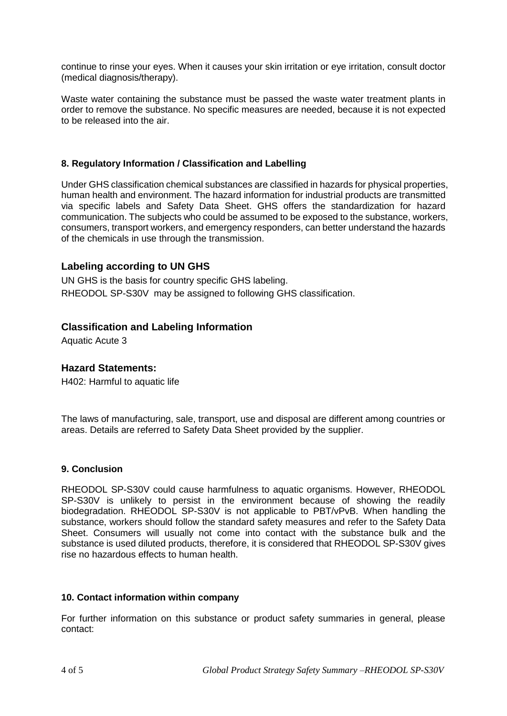continue to rinse your eyes. When it causes your skin irritation or eye irritation, consult doctor (medical diagnosis/therapy).

Waste water containing the substance must be passed the waste water treatment plants in order to remove the substance. No specific measures are needed, because it is not expected to be released into the air.

#### **8. Regulatory Information / Classification and Labelling**

Under GHS classification chemical substances are classified in hazards for physical properties, human health and environment. The hazard information for industrial products are transmitted via specific labels and Safety Data Sheet. GHS offers the standardization for hazard communication. The subjects who could be assumed to be exposed to the substance, workers, consumers, transport workers, and emergency responders, can better understand the hazards of the chemicals in use through the transmission.

#### **Labeling according to UN GHS**

UN GHS is the basis for country specific GHS labeling. RHEODOL SP-S30V may be assigned to following GHS classification.

# **Classification and Labeling Information**

Aquatic Acute 3

#### **Hazard Statements:**

H402: Harmful to aquatic life

The laws of manufacturing, sale, transport, use and disposal are different among countries or areas. Details are referred to Safety Data Sheet provided by the supplier.

#### **9. Conclusion**

RHEODOL SP-S30V could cause harmfulness to aquatic organisms. However, RHEODOL SP-S30V is unlikely to persist in the environment because of showing the readily biodegradation. RHEODOL SP-S30V is not applicable to PBT/vPvB. When handling the substance, workers should follow the standard safety measures and refer to the Safety Data Sheet. Consumers will usually not come into contact with the substance bulk and the substance is used diluted products, therefore, it is considered that RHEODOL SP-S30V gives rise no hazardous effects to human health.

#### **10. Contact information within company**

For further information on this substance or product safety summaries in general, please contact: